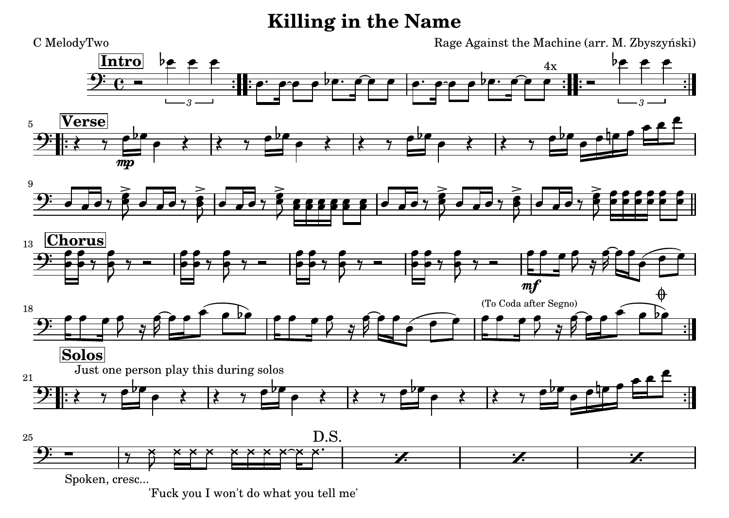## **Killing in the Name**



['Fuck you I won't do what you tell me'](textedit:///tmp/killing_in_the_name.ly:166:11:11)